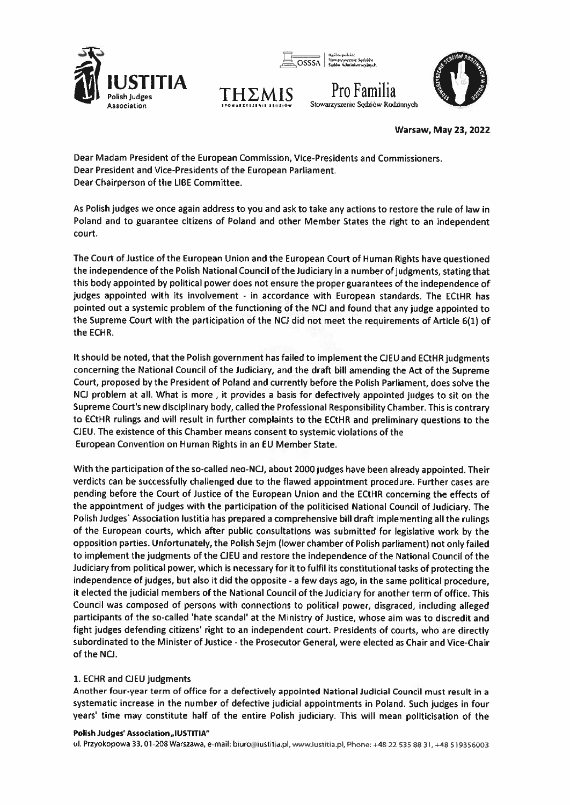

OSSSA

## Stowarzyszenie Sędziów Rodzinnych



**Warsaw, May 23, 2022** 

Dear Madam President of the European Commission, Vice-Presidents and Commissioners. Dear President and Vice-Presidents of the European Parliament. Dear Chairperson of the LIBE Committee.

ΤΗΣΛ

As Polish judges we once again address to you and ask to take any actions to restore the rule of law in Poland and to guarantee citizens of Poland and other Member States the right to an independent court.

The Court of Justice of the European Union and the European Court of Human Rights have questioned the independence of the Polish National Council of the Judiciary in a number of judgments, stating that this body appointed by political power does not ensure the proper guarantees of the independence of judges appointed with its involvement - in accordance with European standards. The ECtHR has pointed out a systemic problem of the functioning of the NCJ and found that any judge appointed to the Supreme Court with the participation of the NCJ did not meet the requirements of Article 6(1) of the ECHR.

It should be noted, that the Polish government has failed to implement the CJEU and ECtHR judgments concerning the National Council of the Judiciary, and the draft bill amending the Act of the Supreme Court, proposed by the President of Poland and currently before the Polish Parliament, does solve the NCJ problem at all. What is more, it provides a basis for defectively appointed judges to sit on the Supreme Court's new disciplinary body, called the Professional Responsibility Chamber. This is contrary to ECtHR rulings and will result in further complaints to the ECtHR and preliminary questions to the CJEU. The existence of this Chamber means consent to systemic violations of the European Convention on Human Rights in an EU Member State.

With the participation of the so-called neo-NCJ, about 2000 judges have been already appointed. Their verdicts can be successfully challenged due to the flawed appointment procedure. Further cases are pending before the Court of Justice of the European Union and the ECtHR concerning the effects of the appointment of judges with the participation of the politicised National Council of Judiciary. The Polish Judges' Association Iustitia has prepared a comprehensive bill draft implementing all the rulings of the European courts, which after public consultations was submitted for legislative work by the opposition parties. Unfortunately, the Polish Sejm (lower chamber of Polish parliament) not only failed to implement the judgments of the CJEU and restore the independence of the National Council of the Judiciary from political power, which is necessary for it to fulfil its constitutional tasks of protecting the independence of judges, but also it did the opposite - a few days ago, in the same political procedure. it elected the judicial members of the National Council of the Judiciary for another term of office. This Council was composed of persons with connections to political power, disgraced, including alleged participants of the so-called 'hate scandal' at the Ministry of Justice, whose aim was to discredit and fight judges defending citizens' right to an independent court. Presidents of courts, who are directly subordinated to the Minister of Justice - the Prosecutor General, were elected as Chair and Vice-Chair of the NCJ.

## 1. ECHR and CJEU judgments

Another four-year term of office for a defectively appointed National Judicial Council must result in a systematic increase in the number of defective judicial appointments in Poland. Such judges in four years' time may constitute half of the entire Polish judiciary. This will mean politicisation of the

## Polish Judges' Association "IUSTITIA"

ul. Przyokopowa 33, 01-208 Warszawa, e-mail: biuro@iustitia.pl, www.iustitia.pl, Phone: +48 22 535 88 31, +48 519356003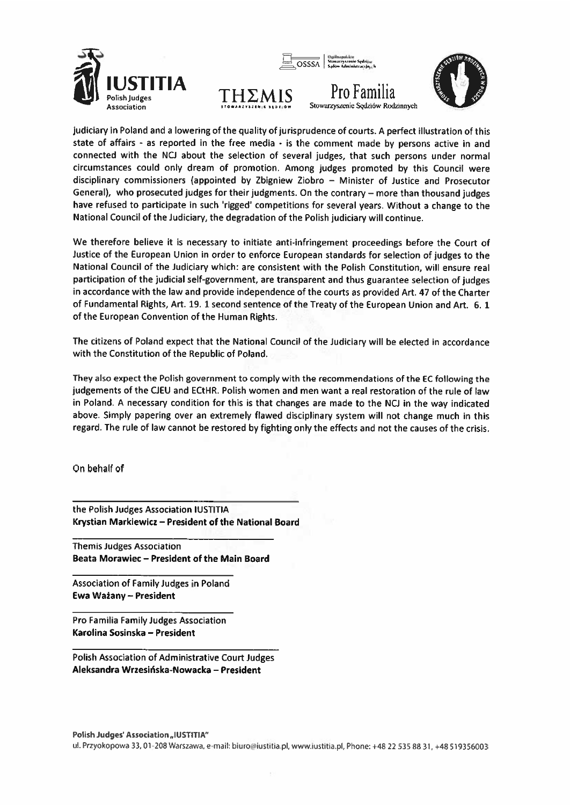





Stowarzyszenie Sedziów Rodzinnych

judiciary in Poland and a lowering of the quality of jurisprudence of courts. A perfect illustration of this state of affairs - as reported in the free media - is the comment made by persons active in and connected with the NCJ about the selection of several judges, that such persons under normal circumstances could only dream of promotion. Among judges promoted by this Council were disciplinary commissioners (appointed by Zbigniew Ziobro - Minister of Justice and Prosecutor General), who prosecuted judges for their judgments. On the contrary – more than thousand judges have refused to participate in such 'rigged' competitions for several years. Without a change to the National Council of the Judiciary, the degradation of the Polish judiciary will continue.

We therefore believe it is necessary to initiate anti-infringement proceedings before the Court of Justice of the European Union in order to enforce European standards for selection of judges to the National Council of the Judiciary which: are consistent with the Polish Constitution, will ensure real participation of the judicial self-government, are transparent and thus guarantee selection of judges in accordance with the law and provide independence of the courts as provided Art. 47 of the Charter of Fundamental Rights, Art. 19. 1 second sentence of the Treaty of the European Union and Art. 6. 1 of the European Convention of the Human Rights.

The citizens of Poland expect that the National Council of the Judiciary will be elected in accordance with the Constitution of the Republic of Poland.

They also expect the Polish government to comply with the recommendations of the EC following the judgements of the CJEU and ECtHR. Polish women and men want a real restoration of the rule of law in Poland. A necessary condition for this is that changes are made to the NCJ in the way indicated above. Simply papering over an extremely flawed disciplinary system will not change much in this regard. The rule of law cannot be restored by fighting only the effects and not the causes of the crisis.

On behalf of

the Polish Judges Association IUSTITIA Krystian Markiewicz - President of the National Board

**Themis Judges Association** Beata Morawiec - President of the Main Board

Association of Family Judges in Poland Ewa Ważany - President

Pro Familia Family Judges Association Karolina Sosinska - President

**Polish Association of Administrative Court Judges** Aleksandra Wrzesińska-Nowacka – President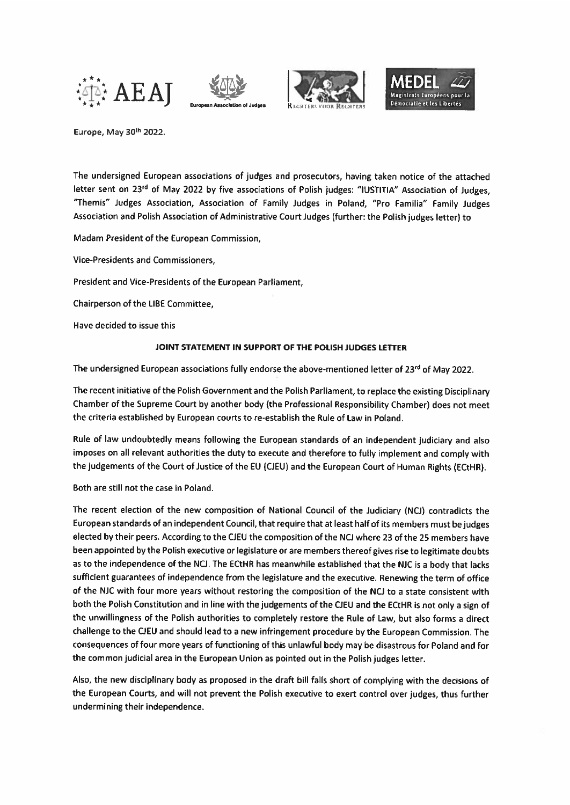







Europe, May 30th 2022.

The undersigned European associations of judges and prosecutors, having taken notice of the attached letter sent on 23rd of May 2022 by five associations of Polish judges: "IUSTITIA" Association of Judges, "Themis" Judges Association, Association of Family Judges in Poland, "Pro Familia" Family Judges Association and Polish Association of Administrative Court Judges (further: the Polish judges letter) to

Madam President of the European Commission,

Vice-Presidents and Commissioners.

President and Vice-Presidents of the European Parliament,

Chairperson of the LIBE Committee.

Have decided to issue this

## JOINT STATEMENT IN SUPPORT OF THE POLISH JUDGES LETTER

The undersigned European associations fully endorse the above-mentioned letter of 23<sup>rd</sup> of May 2022.

The recent initiative of the Polish Government and the Polish Parliament, to replace the existing Disciplinary Chamber of the Supreme Court by another body (the Professional Responsibility Chamber) does not meet the criteria established by European courts to re-establish the Rule of Law in Poland.

Rule of law undoubtedly means following the European standards of an independent judiciary and also imposes on all relevant authorities the duty to execute and therefore to fully implement and comply with the judgements of the Court of Justice of the EU (CJEU) and the European Court of Human Rights (ECtHR).

Both are still not the case in Poland.

The recent election of the new composition of National Council of the Judiciary (NCJ) contradicts the European standards of an independent Council, that require that at least half of its members must be judges elected by their peers. According to the CJEU the composition of the NCJ where 23 of the 25 members have been appointed by the Polish executive or legislature or are members thereof gives rise to legitimate doubts as to the independence of the NCJ. The ECtHR has meanwhile established that the NJC is a body that lacks sufficient guarantees of independence from the legislature and the executive. Renewing the term of office of the NJC with four more years without restoring the composition of the NCJ to a state consistent with both the Polish Constitution and in line with the judgements of the CJEU and the ECtHR is not only a sign of the unwillingness of the Polish authorities to completely restore the Rule of Law, but also forms a direct challenge to the CJEU and should lead to a new infringement procedure by the European Commission. The consequences of four more years of functioning of this unlawful body may be disastrous for Poland and for the common judicial area in the European Union as pointed out in the Polish judges letter.

Also, the new disciplinary body as proposed in the draft bill falls short of complying with the decisions of the European Courts, and will not prevent the Polish executive to exert control over judges, thus further undermining their independence.